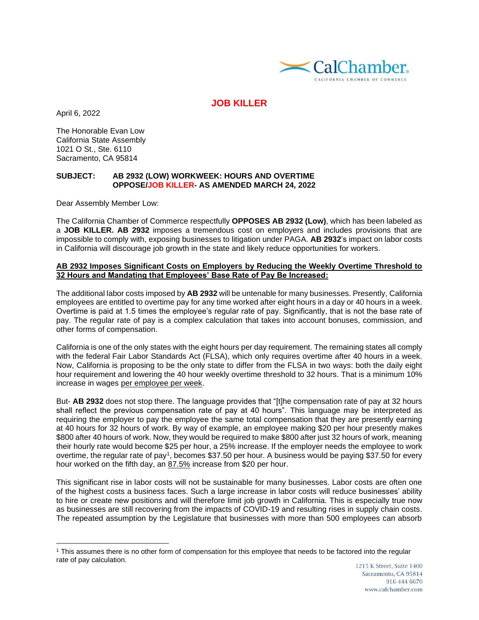

# **JOB KILLER**

April 6, 2022

The Honorable Evan Low California State Assembly 1021 O St., Ste. 6110 Sacramento, CA 95814

#### **SUBJECT: AB 2932 (LOW) WORKWEEK: HOURS AND OVERTIME OPPOSE/JOB KILLER- AS AMENDED MARCH 24, 2022**

Dear Assembly Member Low:

The California Chamber of Commerce respectfully **OPPOSES AB 2932 (Low)**, which has been labeled as a **JOB KILLER. AB 2932** imposes a tremendous cost on employers and includes provisions that are impossible to comply with, exposing businesses to litigation under PAGA. **AB 2932**'s impact on labor costs in California will discourage job growth in the state and likely reduce opportunities for workers.

#### **AB 2932 Imposes Significant Costs on Employers by Reducing the Weekly Overtime Threshold to 32 Hours and Mandating that Employees' Base Rate of Pay Be Increased:**

The additional labor costs imposed by **AB 2932** will be untenable for many businesses. Presently, California employees are entitled to overtime pay for any time worked after eight hours in a day or 40 hours in a week. Overtime is paid at 1.5 times the employee's regular rate of pay. Significantly, that is not the base rate of pay. The regular rate of pay is a complex calculation that takes into account bonuses, commission, and other forms of compensation.

California is one of the only states with the eight hours per day requirement. The remaining states all comply with the federal Fair Labor Standards Act (FLSA), which only requires overtime after 40 hours in a week. Now, California is proposing to be the only state to differ from the FLSA in two ways: both the daily eight hour requirement and lowering the 40 hour weekly overtime threshold to 32 hours. That is a minimum 10% increase in wages per employee per week.

But- **AB 2932** does not stop there. The language provides that "[t]he compensation rate of pay at 32 hours shall reflect the previous compensation rate of pay at 40 hours". This language may be interpreted as requiring the employer to pay the employee the same total compensation that they are presently earning at 40 hours for 32 hours of work. By way of example, an employee making \$20 per hour presently makes \$800 after 40 hours of work. Now, they would be required to make \$800 after just 32 hours of work, meaning their hourly rate would become \$25 per hour, a 25% increase. If the employer needs the employee to work overtime, the regular rate of pay<sup>1</sup>, becomes \$37.50 per hour. A business would be paying \$37.50 for every hour worked on the fifth day, an 87.5% increase from \$20 per hour.

This significant rise in labor costs will not be sustainable for many businesses. Labor costs are often one of the highest costs a business faces. Such a large increase in labor costs will reduce businesses' ability to hire or create new positions and will therefore limit job growth in California. This is especially true now as businesses are still recovering from the impacts of COVID-19 and resulting rises in supply chain costs. The repeated assumption by the Legislature that businesses with more than 500 employees can absorb

<sup>1</sup> This assumes there is no other form of compensation for this employee that needs to be factored into the regular rate of pay calculation.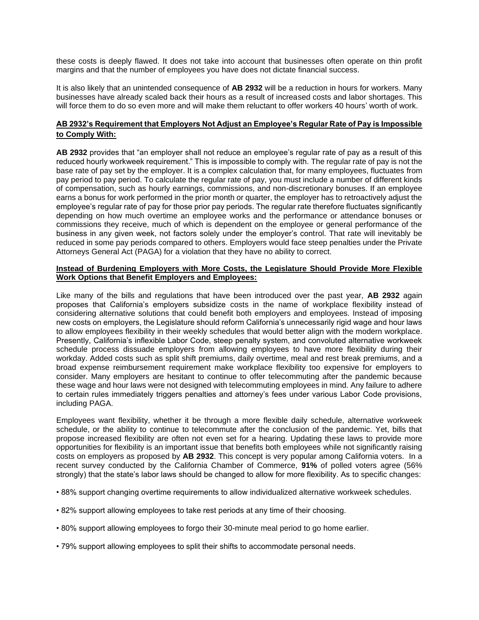these costs is deeply flawed. It does not take into account that businesses often operate on thin profit margins and that the number of employees you have does not dictate financial success.

It is also likely that an unintended consequence of **AB 2932** will be a reduction in hours for workers. Many businesses have already scaled back their hours as a result of increased costs and labor shortages. This will force them to do so even more and will make them reluctant to offer workers 40 hours' worth of work.

## **AB 2932's Requirement that Employers Not Adjust an Employee's Regular Rate of Pay is Impossible to Comply With:**

**AB 2932** provides that "an employer shall not reduce an employee's regular rate of pay as a result of this reduced hourly workweek requirement." This is impossible to comply with. The regular rate of pay is not the base rate of pay set by the employer. It is a complex calculation that, for many employees, fluctuates from pay period to pay period. To calculate the regular rate of pay, you must include a number of different kinds of compensation, such as hourly earnings, commissions, and non-discretionary bonuses. If an employee earns a bonus for work performed in the prior month or quarter, the employer has to retroactively adjust the employee's regular rate of pay for those prior pay periods. The regular rate therefore fluctuates significantly depending on how much overtime an employee works and the performance or attendance bonuses or commissions they receive, much of which is dependent on the employee or general performance of the business in any given week, not factors solely under the employer's control. That rate will inevitably be reduced in some pay periods compared to others. Employers would face steep penalties under the Private Attorneys General Act (PAGA) for a violation that they have no ability to correct.

### **Instead of Burdening Employers with More Costs, the Legislature Should Provide More Flexible Work Options that Benefit Employers and Employees:**

Like many of the bills and regulations that have been introduced over the past year, **AB 2932** again proposes that California's employers subsidize costs in the name of workplace flexibility instead of considering alternative solutions that could benefit both employers and employees. Instead of imposing new costs on employers, the Legislature should reform California's unnecessarily rigid wage and hour laws to allow employees flexibility in their weekly schedules that would better align with the modern workplace. Presently, California's inflexible Labor Code, steep penalty system, and convoluted alternative workweek schedule process dissuade employers from allowing employees to have more flexibility during their workday. Added costs such as split shift premiums, daily overtime, meal and rest break premiums, and a broad expense reimbursement requirement make workplace flexibility too expensive for employers to consider. Many employers are hesitant to continue to offer telecommuting after the pandemic because these wage and hour laws were not designed with telecommuting employees in mind. Any failure to adhere to certain rules immediately triggers penalties and attorney's fees under various Labor Code provisions, including PAGA.

Employees want flexibility, whether it be through a more flexible daily schedule, alternative workweek schedule, or the ability to continue to telecommute after the conclusion of the pandemic. Yet, bills that propose increased flexibility are often not even set for a hearing. Updating these laws to provide more opportunities for flexibility is an important issue that benefits both employees while not significantly raising costs on employers as proposed by **AB 2932**. This concept is very popular among California voters. In a recent survey conducted by the California Chamber of Commerce, **91%** of polled voters agree (56% strongly) that the state's labor laws should be changed to allow for more flexibility. As to specific changes:

- 88% support changing overtime requirements to allow individualized alternative workweek schedules.
- 82% support allowing employees to take rest periods at any time of their choosing.
- 80% support allowing employees to forgo their 30-minute meal period to go home earlier.
- 79% support allowing employees to split their shifts to accommodate personal needs.